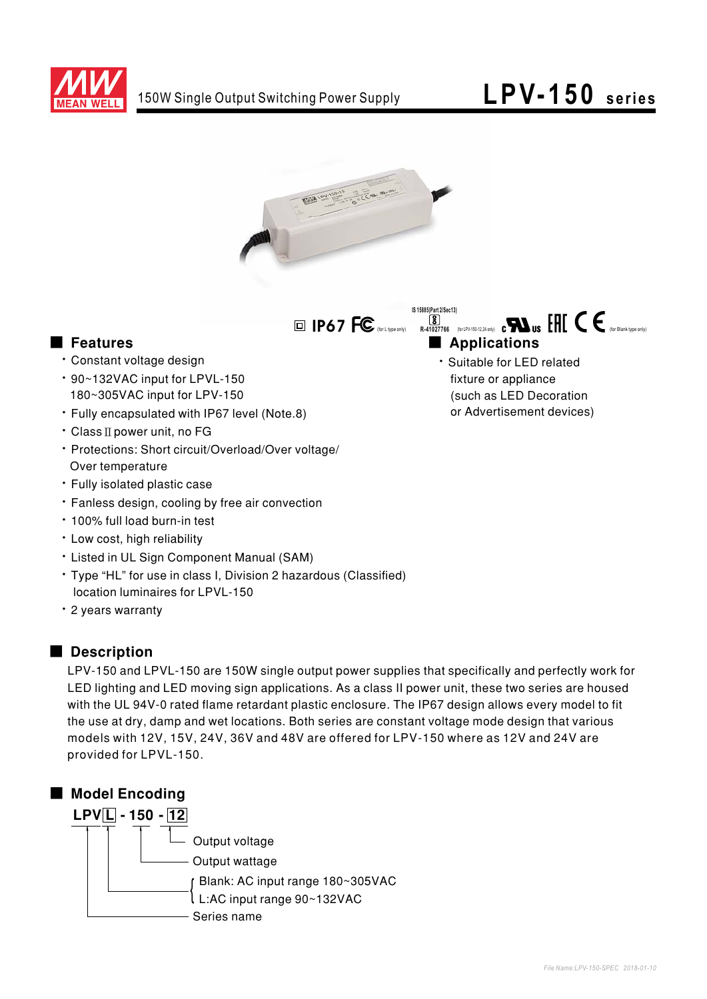

## LPV-150 series



 $\Box$  IP67 FC

IS 15885(Part 2/Sec13)

## **E** Features

- · Constant voltage design
- 90~132VAC input for LPVL-150 180~305VAC input for LPV-150
- · Fully encapsulated with IP67 level (Note.8)
- Class II power unit, no FG
- · Protections: Short circuit/Overload/Over voltage/ Over temperature
- · Fully isolated plastic case
- \* Fanless design, cooling by free air convection
- . 100% full load burn-in test
- · Low cost, high reliability
- Listed in UL Sign Component Manual (SAM)
- \* Type "HL" for use in class I, Division 2 hazardous (Classified) location luminaires for LPVL-150
- · 2 years warranty

### Description

LPV-150 and LPVL-150 are 150W single output power supplies that specifically and perfectly work for LED lighting and LED moving sign applications. As a class II power unit, these two series are housed with the UL 94V-0 rated flame retardant plastic enclosure. The IP67 design allows every model to fit the use at dry, damp and wet locations. Both series are constant voltage mode design that various models with 12V, 15V, 24V, 36V and 48V are offered for LPV-150 where as 12V and 24V are provided for LPVL-150.



- R41027766 (for LPV-150-12,24 only) C**RA** US EFIT CE <sub>doc</sub>elank type conly Applications
	- · Suitable for LED related fixture or appliance (such as LED Decoration or Advertisement devices)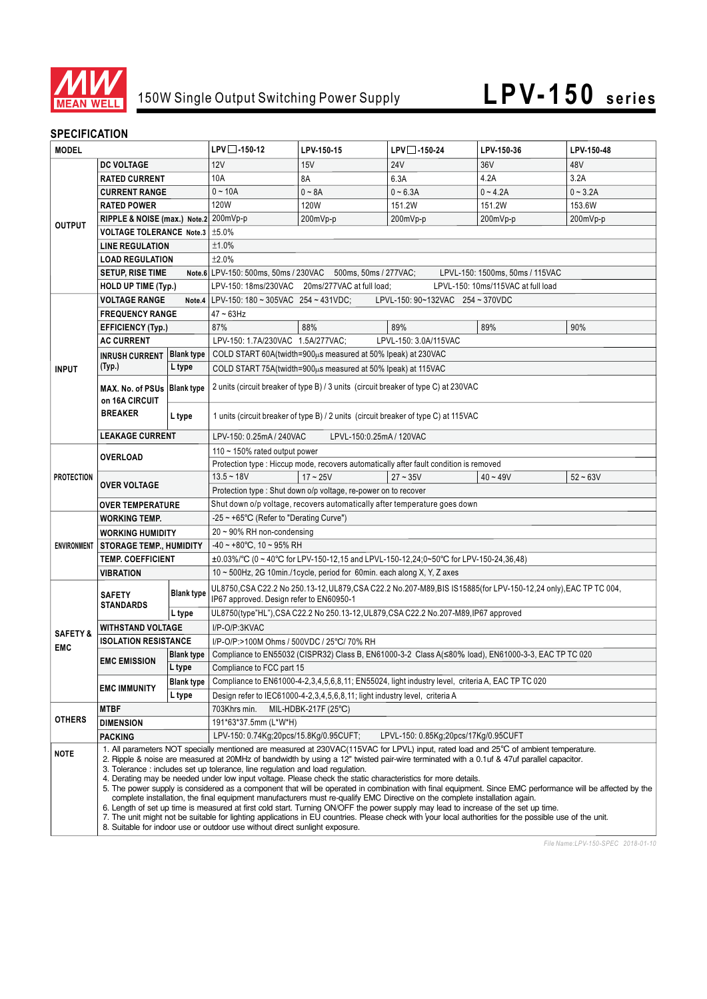

# 150W Single Output Switching Power Supply **LPV-150 series**

## **SPECIFICATION**

| <b>MODEL</b>                      |                                                                                                                                                                                                                                                                                                                                                                                                                                                                                                                                                                                                                                                                                                                                                                                                                                                                                                                                                                                                                                                                                                                                                              | $LPV$ -150-12     | LPV-150-15                                                                                                        | $LPV$ -150-24 | LPV-150-36            | LPV-150-48 |            |
|-----------------------------------|--------------------------------------------------------------------------------------------------------------------------------------------------------------------------------------------------------------------------------------------------------------------------------------------------------------------------------------------------------------------------------------------------------------------------------------------------------------------------------------------------------------------------------------------------------------------------------------------------------------------------------------------------------------------------------------------------------------------------------------------------------------------------------------------------------------------------------------------------------------------------------------------------------------------------------------------------------------------------------------------------------------------------------------------------------------------------------------------------------------------------------------------------------------|-------------------|-------------------------------------------------------------------------------------------------------------------|---------------|-----------------------|------------|------------|
| <b>DC VOLTAGE</b>                 |                                                                                                                                                                                                                                                                                                                                                                                                                                                                                                                                                                                                                                                                                                                                                                                                                                                                                                                                                                                                                                                                                                                                                              | 12V               | 15V                                                                                                               | <b>24V</b>    | 36V                   | 48V        |            |
| <b>OUTPUT</b>                     | <b>RATED CURRENT</b>                                                                                                                                                                                                                                                                                                                                                                                                                                                                                                                                                                                                                                                                                                                                                                                                                                                                                                                                                                                                                                                                                                                                         |                   | 10A                                                                                                               | 8A            | 6.3A                  | 4.2A       | 3.2A       |
|                                   | <b>CURRENT RANGE</b>                                                                                                                                                                                                                                                                                                                                                                                                                                                                                                                                                                                                                                                                                                                                                                                                                                                                                                                                                                                                                                                                                                                                         |                   | $0 - 10A$                                                                                                         | $0 - 8A$      | $0 - 6.3A$            | $0 - 4.2A$ | $0 - 3.2A$ |
|                                   | <b>RATED POWER</b>                                                                                                                                                                                                                                                                                                                                                                                                                                                                                                                                                                                                                                                                                                                                                                                                                                                                                                                                                                                                                                                                                                                                           |                   | <b>120W</b>                                                                                                       | 120W          | 151.2W                | 151.2W     | 153.6W     |
|                                   | RIPPLE & NOISE (max.) Note.2 200mVp-p                                                                                                                                                                                                                                                                                                                                                                                                                                                                                                                                                                                                                                                                                                                                                                                                                                                                                                                                                                                                                                                                                                                        |                   |                                                                                                                   | 200mVp-p      | 200mVp-p              | 200mVp-p   | 200mVp-p   |
|                                   | VOLTAGE TOLERANCE Note.3   ±5.0%                                                                                                                                                                                                                                                                                                                                                                                                                                                                                                                                                                                                                                                                                                                                                                                                                                                                                                                                                                                                                                                                                                                             |                   |                                                                                                                   |               |                       |            |            |
|                                   | <b>LINE REGULATION</b>                                                                                                                                                                                                                                                                                                                                                                                                                                                                                                                                                                                                                                                                                                                                                                                                                                                                                                                                                                                                                                                                                                                                       |                   | ±1.0%                                                                                                             |               |                       |            |            |
|                                   | <b>LOAD REGULATION</b>                                                                                                                                                                                                                                                                                                                                                                                                                                                                                                                                                                                                                                                                                                                                                                                                                                                                                                                                                                                                                                                                                                                                       |                   | ±2.0%                                                                                                             |               |                       |            |            |
|                                   | <b>SETUP, RISE TIME</b>                                                                                                                                                                                                                                                                                                                                                                                                                                                                                                                                                                                                                                                                                                                                                                                                                                                                                                                                                                                                                                                                                                                                      |                   | Note.6 LPV-150: 500ms, 50ms / 230VAC 500ms, 50ms / 277VAC;<br>LPVL-150: 1500ms, 50ms / 115VAC                     |               |                       |            |            |
|                                   | <b>HOLD UP TIME (Typ.)</b>                                                                                                                                                                                                                                                                                                                                                                                                                                                                                                                                                                                                                                                                                                                                                                                                                                                                                                                                                                                                                                                                                                                                   |                   | LPV-150: 18ms/230VAC 20ms/277VAC at full load:<br>LPVL-150: 10ms/115VAC at full load                              |               |                       |            |            |
|                                   | <b>VOLTAGE RANGE</b>                                                                                                                                                                                                                                                                                                                                                                                                                                                                                                                                                                                                                                                                                                                                                                                                                                                                                                                                                                                                                                                                                                                                         |                   | Note.4 LPV-150: 180 ~ 305VAC 254 ~ 431VDC:<br>LPVL-150: 90~132VAC 254 ~ 370VDC                                    |               |                       |            |            |
| <b>INPUT</b>                      | <b>FREQUENCY RANGE</b>                                                                                                                                                                                                                                                                                                                                                                                                                                                                                                                                                                                                                                                                                                                                                                                                                                                                                                                                                                                                                                                                                                                                       |                   | $47 - 63$ Hz                                                                                                      |               |                       |            |            |
|                                   | <b>EFFICIENCY (Typ.)</b>                                                                                                                                                                                                                                                                                                                                                                                                                                                                                                                                                                                                                                                                                                                                                                                                                                                                                                                                                                                                                                                                                                                                     |                   | 87%                                                                                                               | 88%           | 89%                   | 89%        | 90%        |
|                                   | <b>AC CURRENT</b>                                                                                                                                                                                                                                                                                                                                                                                                                                                                                                                                                                                                                                                                                                                                                                                                                                                                                                                                                                                                                                                                                                                                            |                   | LPV-150: 1.7A/230VAC 1.5A/277VAC;                                                                                 |               | LPVL-150: 3.0A/115VAC |            |            |
|                                   | <b>INRUSH CURRENT</b>                                                                                                                                                                                                                                                                                                                                                                                                                                                                                                                                                                                                                                                                                                                                                                                                                                                                                                                                                                                                                                                                                                                                        | <b>Blank type</b> | COLD START 60A(twidth=900µs measured at 50% Ipeak) at 230VAC                                                      |               |                       |            |            |
|                                   | (Typ.)                                                                                                                                                                                                                                                                                                                                                                                                                                                                                                                                                                                                                                                                                                                                                                                                                                                                                                                                                                                                                                                                                                                                                       | L type            | COLD START 75A (twidth=900µs measured at 50% Ipeak) at 115VAC                                                     |               |                       |            |            |
|                                   |                                                                                                                                                                                                                                                                                                                                                                                                                                                                                                                                                                                                                                                                                                                                                                                                                                                                                                                                                                                                                                                                                                                                                              |                   |                                                                                                                   |               |                       |            |            |
|                                   | MAX. No. of PSUs Blank type<br>on 16A CIRCUIT<br><b>BREAKER</b>                                                                                                                                                                                                                                                                                                                                                                                                                                                                                                                                                                                                                                                                                                                                                                                                                                                                                                                                                                                                                                                                                              |                   | 2 units (circuit breaker of type B) / 3 units (circuit breaker of type C) at 230VAC                               |               |                       |            |            |
|                                   |                                                                                                                                                                                                                                                                                                                                                                                                                                                                                                                                                                                                                                                                                                                                                                                                                                                                                                                                                                                                                                                                                                                                                              |                   | 1 units (circuit breaker of type B) / 2 units (circuit breaker of type C) at 115VAC                               |               |                       |            |            |
|                                   |                                                                                                                                                                                                                                                                                                                                                                                                                                                                                                                                                                                                                                                                                                                                                                                                                                                                                                                                                                                                                                                                                                                                                              | L type            |                                                                                                                   |               |                       |            |            |
|                                   | <b>LEAKAGE CURRENT</b>                                                                                                                                                                                                                                                                                                                                                                                                                                                                                                                                                                                                                                                                                                                                                                                                                                                                                                                                                                                                                                                                                                                                       |                   | LPV-150: 0.25mA / 240VAC<br>LPVL-150:0.25mA / 120VAC                                                              |               |                       |            |            |
| <b>PROTECTION</b>                 | <b>OVERLOAD</b>                                                                                                                                                                                                                                                                                                                                                                                                                                                                                                                                                                                                                                                                                                                                                                                                                                                                                                                                                                                                                                                                                                                                              |                   | 110 $\sim$ 150% rated output power                                                                                |               |                       |            |            |
|                                   |                                                                                                                                                                                                                                                                                                                                                                                                                                                                                                                                                                                                                                                                                                                                                                                                                                                                                                                                                                                                                                                                                                                                                              |                   | Protection type : Hiccup mode, recovers automatically after fault condition is removed                            |               |                       |            |            |
|                                   | <b>OVER VOLTAGE</b>                                                                                                                                                                                                                                                                                                                                                                                                                                                                                                                                                                                                                                                                                                                                                                                                                                                                                                                                                                                                                                                                                                                                          |                   | $13.5 - 18V$                                                                                                      | $17 - 25V$    | $27 - 35V$            | $40 - 49V$ | $52 - 63V$ |
|                                   |                                                                                                                                                                                                                                                                                                                                                                                                                                                                                                                                                                                                                                                                                                                                                                                                                                                                                                                                                                                                                                                                                                                                                              |                   | Protection type : Shut down o/p voltage, re-power on to recover                                                   |               |                       |            |            |
|                                   | <b>OVER TEMPERATURE</b>                                                                                                                                                                                                                                                                                                                                                                                                                                                                                                                                                                                                                                                                                                                                                                                                                                                                                                                                                                                                                                                                                                                                      |                   | Shut down o/p voltage, recovers automatically after temperature goes down                                         |               |                       |            |            |
| <b>ENVIRONMENT</b>                | <b>WORKING TEMP.</b>                                                                                                                                                                                                                                                                                                                                                                                                                                                                                                                                                                                                                                                                                                                                                                                                                                                                                                                                                                                                                                                                                                                                         |                   | -25 ~ +65°C (Refer to "Derating Curve")                                                                           |               |                       |            |            |
|                                   | <b>WORKING HUMIDITY</b>                                                                                                                                                                                                                                                                                                                                                                                                                                                                                                                                                                                                                                                                                                                                                                                                                                                                                                                                                                                                                                                                                                                                      |                   | 20~90% RH non-condensing                                                                                          |               |                       |            |            |
|                                   | <b>STORAGE TEMP., HUMIDITY</b>                                                                                                                                                                                                                                                                                                                                                                                                                                                                                                                                                                                                                                                                                                                                                                                                                                                                                                                                                                                                                                                                                                                               |                   | $-40 \sim +80^{\circ}$ C, 10 ~ 95% RH                                                                             |               |                       |            |            |
|                                   | <b>TEMP, COEFFICIENT</b>                                                                                                                                                                                                                                                                                                                                                                                                                                                                                                                                                                                                                                                                                                                                                                                                                                                                                                                                                                                                                                                                                                                                     |                   | $\pm 0.03\%$ °C (0 ~ 40°C for LPV-150-12,15 and LPVL-150-12,24;0~50°C for LPV-150-24,36,48)                       |               |                       |            |            |
|                                   | <b>VIBRATION</b>                                                                                                                                                                                                                                                                                                                                                                                                                                                                                                                                                                                                                                                                                                                                                                                                                                                                                                                                                                                                                                                                                                                                             |                   | 10 ~ 500Hz, 2G 10min./1cycle, period for 60min. each along X, Y, Z axes                                           |               |                       |            |            |
| <b>SAFETY &amp;</b><br><b>EMC</b> | <b>SAFETY</b><br><b>STANDARDS</b>                                                                                                                                                                                                                                                                                                                                                                                                                                                                                                                                                                                                                                                                                                                                                                                                                                                                                                                                                                                                                                                                                                                            | <b>Blank type</b> | UL8750, CSA C22.2 No 250.13-12, UL879, CSA C22.2 No.207-M89, BIS IS15885(for LPV-150-12, 24 only), EAC TP TC 004, |               |                       |            |            |
|                                   |                                                                                                                                                                                                                                                                                                                                                                                                                                                                                                                                                                                                                                                                                                                                                                                                                                                                                                                                                                                                                                                                                                                                                              |                   | IP67 approved. Design refer to EN60950-1                                                                          |               |                       |            |            |
|                                   |                                                                                                                                                                                                                                                                                                                                                                                                                                                                                                                                                                                                                                                                                                                                                                                                                                                                                                                                                                                                                                                                                                                                                              | L type            | UL8750(type"HL"), CSA C22.2 No 250.13-12, UL879, CSA C22.2 No.207-M89, IP67 approved                              |               |                       |            |            |
|                                   | <b>WITHSTAND VOLTAGE</b>                                                                                                                                                                                                                                                                                                                                                                                                                                                                                                                                                                                                                                                                                                                                                                                                                                                                                                                                                                                                                                                                                                                                     |                   | I/P-O/P:3KVAC                                                                                                     |               |                       |            |            |
|                                   | <b>ISOLATION RESISTANCE</b>                                                                                                                                                                                                                                                                                                                                                                                                                                                                                                                                                                                                                                                                                                                                                                                                                                                                                                                                                                                                                                                                                                                                  |                   | I/P-O/P:>100M Ohms / 500VDC / 25°C/ 70% RH                                                                        |               |                       |            |            |
|                                   | <b>Blank type</b><br><b>EMC EMISSION</b>                                                                                                                                                                                                                                                                                                                                                                                                                                                                                                                                                                                                                                                                                                                                                                                                                                                                                                                                                                                                                                                                                                                     |                   | Compliance to EN55032 (CISPR32) Class B, EN61000-3-2 Class A(≤80% load), EN61000-3-3, EAC TP TC 020               |               |                       |            |            |
|                                   |                                                                                                                                                                                                                                                                                                                                                                                                                                                                                                                                                                                                                                                                                                                                                                                                                                                                                                                                                                                                                                                                                                                                                              | L type            | Compliance to FCC part 15                                                                                         |               |                       |            |            |
|                                   | <b>EMC IMMUNITY</b>                                                                                                                                                                                                                                                                                                                                                                                                                                                                                                                                                                                                                                                                                                                                                                                                                                                                                                                                                                                                                                                                                                                                          | <b>Blank type</b> | Compliance to EN61000-4-2,3,4,5,6,8,11; EN55024, light industry level, criteria A, EAC TP TC 020                  |               |                       |            |            |
|                                   | L type                                                                                                                                                                                                                                                                                                                                                                                                                                                                                                                                                                                                                                                                                                                                                                                                                                                                                                                                                                                                                                                                                                                                                       |                   | Design refer to IEC61000-4-2,3,4,5,6,8,11; light industry level, criteria A                                       |               |                       |            |            |
|                                   | <b>MTBF</b>                                                                                                                                                                                                                                                                                                                                                                                                                                                                                                                                                                                                                                                                                                                                                                                                                                                                                                                                                                                                                                                                                                                                                  |                   | 703Khrs min.<br>MIL-HDBK-217F $(25^{\circ}C)$                                                                     |               |                       |            |            |
| <b>OTHERS</b>                     | <b>DIMENSION</b>                                                                                                                                                                                                                                                                                                                                                                                                                                                                                                                                                                                                                                                                                                                                                                                                                                                                                                                                                                                                                                                                                                                                             |                   | 191*63*37.5mm (L*W*H)                                                                                             |               |                       |            |            |
|                                   | <b>PACKING</b>                                                                                                                                                                                                                                                                                                                                                                                                                                                                                                                                                                                                                                                                                                                                                                                                                                                                                                                                                                                                                                                                                                                                               |                   | LPV-150: 0.74Kg;20pcs/15.8Kg/0.95CUFT;<br>LPVL-150: 0.85Kg;20pcs/17Kg/0.95CUFT                                    |               |                       |            |            |
| <b>NOTE</b>                       | 1. All parameters NOT specially mentioned are measured at 230VAC(115VAC for LPVL) input, rated load and 25°C of ambient temperature.<br>2. Ripple & noise are measured at 20MHz of bandwidth by using a 12" twisted pair-wire terminated with a 0.1uf & 47uf parallel capacitor.<br>3. Tolerance: includes set up tolerance, line regulation and load regulation.<br>4. Derating may be needed under low input voltage. Please check the static characteristics for more details.<br>5. The power supply is considered as a component that will be operated in combination with final equipment. Since EMC performance will be affected by the<br>complete installation, the final equipment manufacturers must re-qualify EMC Directive on the complete installation again.<br>6. Length of set up time is measured at first cold start. Turning ON/OFF the power supply may lead to increase of the set up time.<br>7. The unit might not be suitable for lighting applications in EU countries. Please check with your local authorities for the possible use of the unit.<br>8. Suitable for indoor use or outdoor use without direct sunlight exposure. |                   |                                                                                                                   |               |                       |            |            |

*File Name:LPV-150-SPEC 2018-01-10*